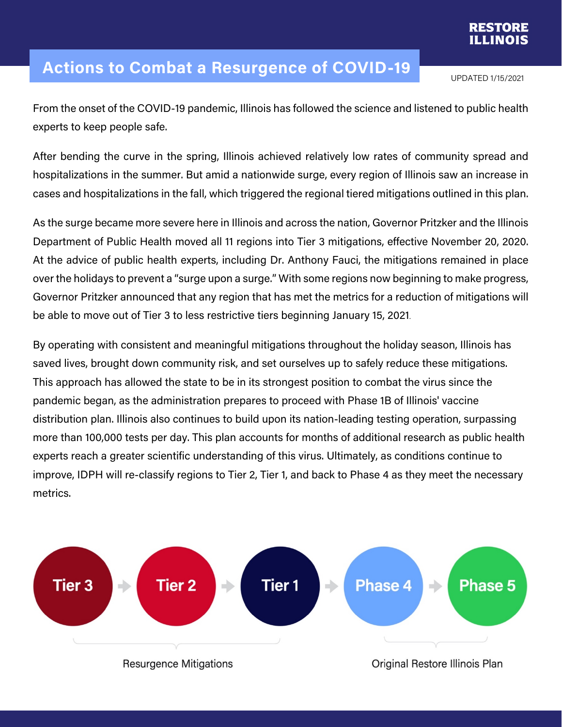

## **Actions to Combat a Resurgence of COVID-19**

UPDATED 1/15/2021

From the onset of the COVID-19 pandemic, Illinois has followed the science and listened to public health experts to keep people safe.

After bending the curve in the spring, Illinois achieved relatively low rates of community spread and hospitalizations in the summer. But amid a nationwide surge, every region of Illinois saw an increase in cases and hospitalizations in the fall, which triggered the regional tiered mitigations outlined in this plan.

As the surge became more severe here in Illinois and across the nation, Governor Pritzker and the Illinois Department of Public Health moved all 11 regions into Tier 3 mitigations, effective November 20, 2020. At the advice of public health experts, including Dr. Anthony Fauci, the mitigations remained in place over the holidays to prevent a "surge upon a surge." With some regions now beginning to make progress, Governor Pritzker announced that any region that has met the metrics for a reduction of mitigations will be able to move out of Tier 3 to less restrictive tiers beginning January 15, 2021.

By operating with consistent and meaningful mitigations throughout the holiday season, Illinois has saved lives, brought down community risk, and set ourselves up to safely reduce these mitigations. This approach has allowed the state to be in its strongest position to combat the virus since the pandemic began, as the administration prepares to proceed with Phase 1B of Illinois' vaccine distribution plan. Illinois also continues to build upon its nation-leading testing operation, surpassing more than 100,000 tests per day. This plan accounts for months of additional research as public health experts reach a greater scientific understanding of this virus. Ultimately, as conditions continue to improve, IDPH will re-classify regions to Tier 2, Tier 1, and back to Phase 4 as they meet the necessary metrics.

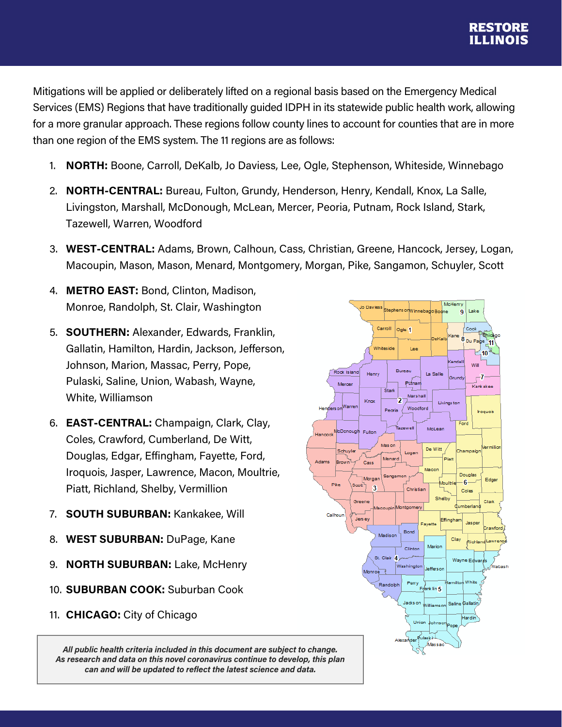Mitigations will be applied or deliberately lifted on a regional basis based on the Emergency Medical Services (EMS) Regions that have traditionally guided IDPH in its statewide public health work, allowing for a more granular approach. These regions follow county lines to account for counties that are in more than one region of the EMS system. The 11 regions are as follows:

- 1. **NORTH:** Boone, Carroll, DeKalb, Jo Daviess, Lee, Ogle, Stephenson, Whiteside, Winnebago
- 2. **NORTH-CENTRAL:** Bureau, Fulton, Grundy, Henderson, Henry, Kendall, Knox, La Salle, Livingston, Marshall, McDonough, McLean, Mercer, Peoria, Putnam, Rock Island, Stark, Tazewell, Warren, Woodford
- 3. **WEST-CENTRAL:** Adams, Brown, Calhoun, Cass, Christian, Greene, Hancock, Jersey, Logan, Macoupin, Mason, Mason, Menard, Montgomery, Morgan, Pike, Sangamon, Schuyler, Scott
- 4. **METRO EAST:** Bond, Clinton, Madison, Monroe, Randolph, St. Clair, Washington
- 5. **SOUTHERN:** Alexander, Edwards, Franklin, Gallatin, Hamilton, Hardin, Jackson, Jefferson, Johnson, Marion, Massac, Perry, Pope, Pulaski, Saline, Union, Wabash, Wayne, White, Williamson
- 6. **EAST-CENTRAL:** Champaign, Clark, Clay, Coles, Crawford, Cumberland, De Witt, Douglas, Edgar, Effingham, Fayette, Ford, Iroquois, Jasper, Lawrence, Macon, Moultrie, Piatt, Richland, Shelby, Vermillion
- 7. **SOUTH SUBURBAN:** Kankakee, Will
- 8. **WEST SUBURBAN:** DuPage, Kane
- 9. **NORTH SUBURBAN:** Lake, McHenry
- 10. **SUBURBAN COOK:** Suburban Cook
- 11. **CHICAGO:** City of Chicago

*All public health criteria included in this document are subject to change. As research and data on this novel coronavirus continue to develop, this plan can and will be updated to reflect the latest science and data.*

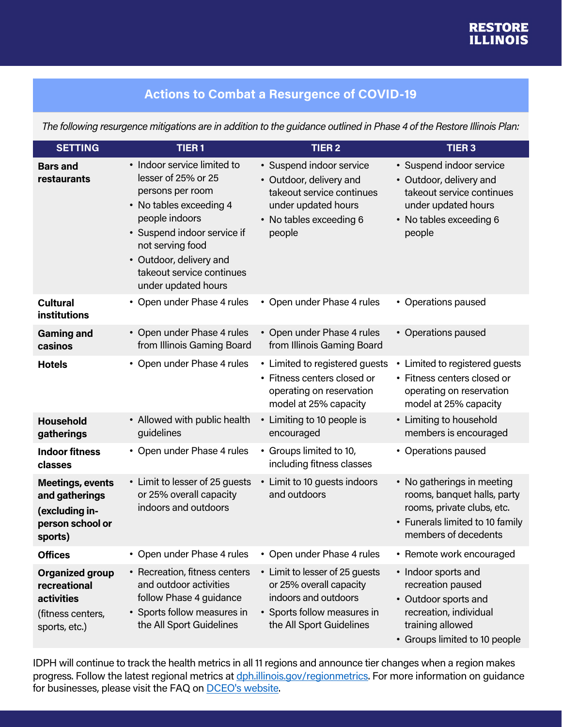## **Actions to Combat a Resurgence of COVID-19**

*The following resurgence mitigations are in addition to the guidance outlined in Phase 4 of the Restore Illinois Plan:*

| <b>SETTING</b>                                                                             | TIER <sub>1</sub>                                                                                                                                                                                                                                     | <b>TIER 2</b>                                                                                                                                | <b>TIER3</b>                                                                                                                                       |
|--------------------------------------------------------------------------------------------|-------------------------------------------------------------------------------------------------------------------------------------------------------------------------------------------------------------------------------------------------------|----------------------------------------------------------------------------------------------------------------------------------------------|----------------------------------------------------------------------------------------------------------------------------------------------------|
| <b>Bars and</b><br>restaurants                                                             | • Indoor service limited to<br>lesser of 25% or 25<br>persons per room<br>• No tables exceeding 4<br>people indoors<br>• Suspend indoor service if<br>not serving food<br>• Outdoor, delivery and<br>takeout service continues<br>under updated hours | • Suspend indoor service<br>• Outdoor, delivery and<br>takeout service continues<br>under updated hours<br>• No tables exceeding 6<br>people | • Suspend indoor service<br>• Outdoor, delivery and<br>takeout service continues<br>under updated hours<br>• No tables exceeding 6<br>people       |
| <b>Cultural</b><br><b>institutions</b>                                                     | • Open under Phase 4 rules                                                                                                                                                                                                                            | • Open under Phase 4 rules                                                                                                                   | • Operations paused                                                                                                                                |
| <b>Gaming and</b><br>casinos                                                               | • Open under Phase 4 rules<br>from Illinois Gaming Board                                                                                                                                                                                              | • Open under Phase 4 rules<br>from Illinois Gaming Board                                                                                     | • Operations paused                                                                                                                                |
| <b>Hotels</b>                                                                              | • Open under Phase 4 rules                                                                                                                                                                                                                            | • Limited to registered guests<br>• Fitness centers closed or<br>operating on reservation<br>model at 25% capacity                           | • Limited to registered guests<br>• Fitness centers closed or<br>operating on reservation<br>model at 25% capacity                                 |
| <b>Household</b><br>gatherings                                                             | • Allowed with public health<br>guidelines                                                                                                                                                                                                            | • Limiting to 10 people is<br>encouraged                                                                                                     | • Limiting to household<br>members is encouraged                                                                                                   |
| <b>Indoor fitness</b><br>classes                                                           | • Open under Phase 4 rules                                                                                                                                                                                                                            | • Groups limited to 10,<br>including fitness classes                                                                                         | • Operations paused                                                                                                                                |
| <b>Meetings, events</b><br>and gatherings<br>(excluding in-<br>person school or<br>sports) | • Limit to lesser of 25 guests<br>or 25% overall capacity<br>indoors and outdoors                                                                                                                                                                     | • Limit to 10 guests indoors<br>and outdoors                                                                                                 | • No gatherings in meeting<br>rooms, banquet halls, party<br>rooms, private clubs, etc.<br>• Funerals limited to 10 family<br>members of decedents |
| <b>Offices</b>                                                                             | • Open under Phase 4 rules                                                                                                                                                                                                                            | • Open under Phase 4 rules                                                                                                                   | • Remote work encouraged                                                                                                                           |
| <b>Organized group</b><br>recreational<br>activities<br>(fitness centers,<br>sports, etc.) | • Recreation, fitness centers<br>and outdoor activities<br>follow Phase 4 guidance<br>• Sports follow measures in<br>the All Sport Guidelines                                                                                                         | • Limit to lesser of 25 guests<br>or 25% overall capacity<br>indoors and outdoors<br>• Sports follow measures in<br>the All Sport Guidelines | • Indoor sports and<br>recreation paused<br>• Outdoor sports and<br>recreation, individual<br>training allowed<br>• Groups limited to 10 people    |

IDPH will continue to track the health metrics in all 11 regions and announce tier changes when a region makes progress. Follow the latest regional metrics at dph.illinois.gov/regionmetrics. For more information on guidance for businesses, please visit the FAQ on **DCEO's website**.